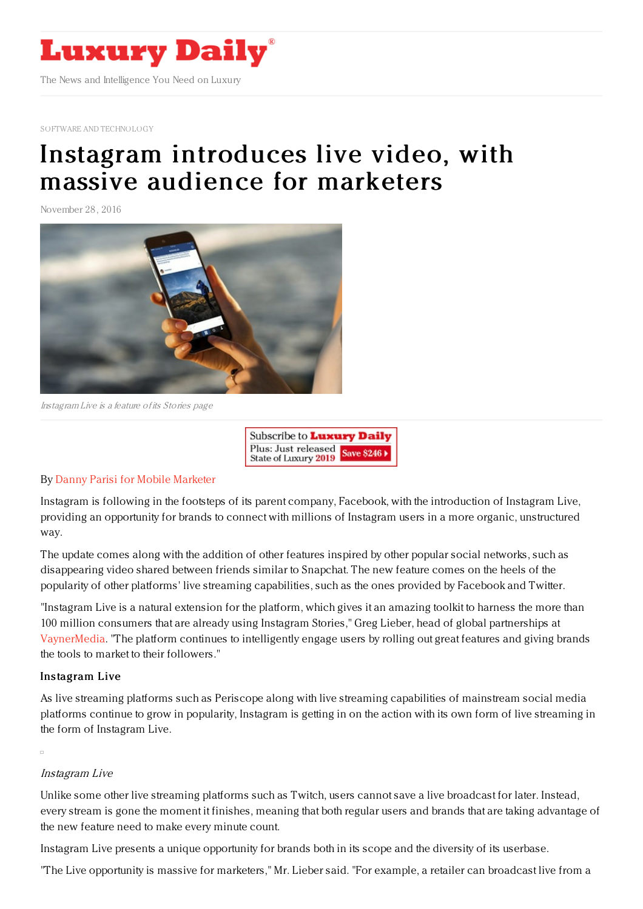

SOFTWARE AND [TECHNOLOGY](https://www.luxurydaily.com/category/sectors/software-and-technology-industry-sectors/)

# Instagram [introduces](https://www.luxurydaily.com/instagram-introduces-live-video-with-massive-audience-for-marketers/) live video, with massive audience for marketers

November 28, 2016



Instagram Live is <sup>a</sup> feature of its Stories page



## By Danny Parisi for Mobile [Marketer](http://www.mobilemarketer.com/cms/authors/47.html)

Instagram is following in the footsteps of its parent company, Facebook, with the introduction of Instagram Live, providing an opportunity for brands to connect with millions of Instagram users in a more organic, unstructured way.

The update comes along with the addition of other features inspired by other popular social networks, such as disappearing video shared between friends similar to Snapchat. The new feature comes on the heels of the popularity of other platforms' live streaming capabilities, such as the ones provided by Facebook and Twitter.

"Instagram Live is a natural extension for the platform, which gives it an amazing toolkit to harness the more than 100 million consumers that are already using Instagram Stories," Greg Lieber, head of global partnerships at [VaynerMedia.](http://www.vaynermedia.com/) "The platform continues to intelligently engage users by rolling out great features and giving brands the tools to market to their followers."

#### Instagram Live

As live streaming platforms such as Periscope along with live streaming capabilities of mainstream social media platforms continue to grow in popularity, Instagram is getting in on the action with its own form of live streaming in the form of Instagram Live.

#### Instagram Live

Unlike some other live streaming platforms such as Twitch, users cannot save a live broadcast for later. Instead, every stream is gone the moment it finishes, meaning that both regular users and brands that are taking advantage of the new feature need to make every minute count.

Instagram Live presents a unique opportunity for brands both in its scope and the diversity of its userbase.

"The Live opportunity is massive for marketers," Mr. Lieber said. "For example, a retailer can broadcast live from a